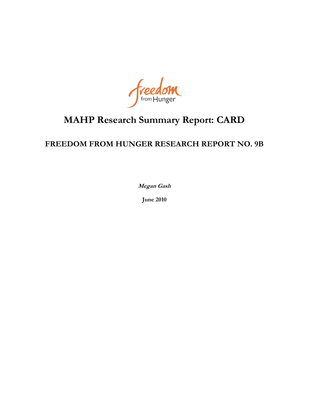Freedom

# **MAHP Research Summary Report: CARD**

# **FREEDOM FROM HUNGER RESEARCH REPORT NO. 9B**

**Megan Gash**

**June 2010**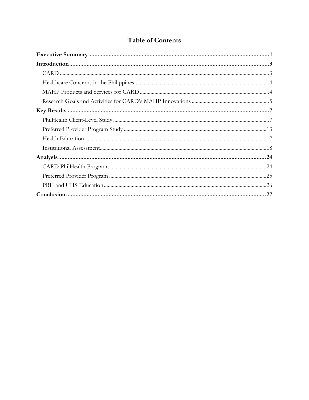# **Table of Contents**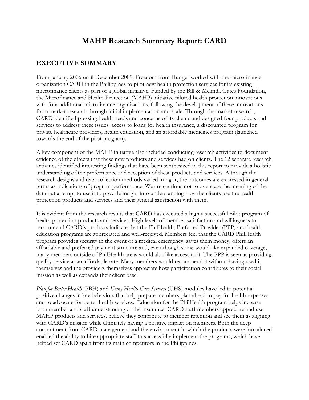# **MAHP Research Summary Report: CARD**

# **EXECUTIVE SUMMARY**

From January 2006 until December 2009, Freedom from Hunger worked with the microfinance organization CARD in the Philippines to pilot new health protection services for its existing microfinance clients as part of a global initiative. Funded by the Bill & Melinda Gates Foundation, the Microfinance and Health Protection (MAHP) initiative piloted health protection innovations with four additional microfinance organizations, following the development of these innovations from market research through initial implementation and scale. Through the market research, CARD identified pressing health needs and concerns of its clients and designed four products and services to address these issues: access to loans for health insurance, a discounted program for private healthcare providers, health education, and an affordable medicines program (launched towards the end of the pilot program).

A key component of the MAHP initiative also included conducting research activities to document evidence of the effects that these new products and services had on clients. The 12 separate research activities identified interesting findings that have been synthesized in this report to provide a holistic understanding of the performance and reception of these products and services. Although the research designs and data-collection methods varied in rigor, the outcomes are expressed in general terms as indications of program performance. We are cautious not to overstate the meaning of the data but attempt to use it to provide insight into understanding how the clients use the health protection products and services and their general satisfaction with them.

It is evident from the research results that CARD has executed a highly successful pilot program of health protection products and services. High levels of member satisfaction and willingness to recommend CARD's products indicate that the PhilHealth, Preferred Provider (PPP) and health education programs are appreciated and well-received. Members feel that the CARD PhilHealth program provides security in the event of a medical emergency, saves them money, offers an affordable and preferred payment structure and, even though some would like expanded coverage, many members outside of PhilHealth areas would also like access to it. The PPP is seen as providing quality service at an affordable rate. Many members would recommend it without having used it themselves and the providers themselves appreciate how participation contributes to their social mission as well as expands their client base.

*Plan for Better Health* (PBH) and *Using Health Care Services* (UHS) modules have led to potential positive changes in key behaviors that help prepare members plan ahead to pay for health expenses and to advocate for better health services.. Education for the PhilHealth program helps increase both member and staff understanding of the insurance. CARD staff members appreciate and use MAHP products and services, believe they contribute to member retention and see them as aligning with CARD's mission while ultimately having a positive impact on members. Both the deep commitment from CARD management and the environment in which the products were introduced enabled the ability to hire appropriate staff to successfully implement the programs, which have helped set CARD apart from its main competitors in the Philippines.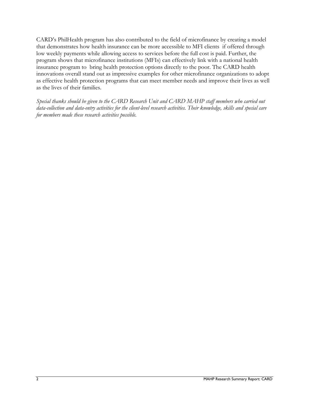CARD's PhilHealth program has also contributed to the field of microfinance by creating a model that demonstrates how health insurance can be more accessible to MFI clients if offered through low weekly payments while allowing access to services before the full cost is paid. Further, the program shows that microfinance institutions (MFIs) can effectively link with a national health insurance program to bring health protection options directly to the poor. The CARD health innovations overall stand out as impressive examples for other microfinance organizations to adopt as effective health protection programs that can meet member needs and improve their lives as well as the lives of their families.

*Special thanks should be given to the CARD Research Unit and CARD MAHP staff members who carried out data-collection and data-entry activities for the client-level research activities. Their knowledge, skills and special care for members made these research activities possible.*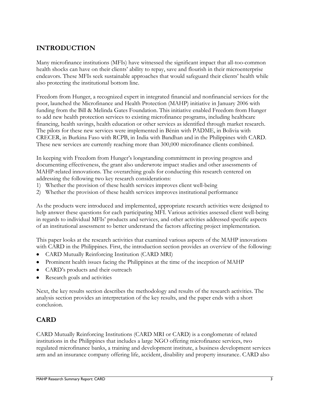# **INTRODUCTION**

Many microfinance institutions (MFIs) have witnessed the significant impact that all-too-common health shocks can have on their clients' ability to repay, save and flourish in their microenterprise endeavors. These MFIs seek sustainable approaches that would safeguard their clients' health while also protecting the institutional bottom line.

Freedom from Hunger, a recognized expert in integrated financial and nonfinancial services for the poor, launched the Microfinance and Health Protection (MAHP) initiative in January 2006 with funding from the Bill & Melinda Gates Foundation. This initiative enabled Freedom from Hunger to add new health protection services to existing microfinance programs, including healthcare financing, health savings, health education or other services as identified through market research. The pilots for these new services were implemented in Bénin with PADME, in Bolivia with CRECER, in Burkina Faso with RCPB, in India with Bandhan and in the Philippines with CARD. These new services are currently reaching more than 300,000 microfinance clients combined.

In keeping with Freedom from Hunger's longstanding commitment in proving progress and documenting effectiveness, the grant also underwrote impact studies and other assessments of MAHP-related innovations. The overarching goals for conducting this research centered on addressing the following two key research considerations:

- 1) Whether the provision of these health services improves client well-being
- 2) Whether the provision of these health services improves institutional performance

As the products were introduced and implemented, appropriate research activities were designed to help answer these questions for each participating MFI. Various activities assessed client well-being in regards to individual MFIs' products and services, and other activities addressed specific aspects of an institutional assessment to better understand the factors affecting project implementation.

This paper looks at the research activities that examined various aspects of the MAHP innovations with CARD in the Philippines. First, the introduction section provides an overview of the following:

- CARD Mutually Reinforcing Institution (CARD MRI)
- Prominent health issues facing the Philippines at the time of the inception of MAHP
- CARD's products and their outreach  $\bullet$
- Research goals and activities

Next, the key results section describes the methodology and results of the research activities. The analysis section provides an interpretation of the key results, and the paper ends with a short conclusion.

# **CARD**

CARD Mutually Reinforcing Institutions (CARD MRI or CARD) is a conglomerate of related institutions in the Philippines that includes a large NGO offering microfinance services, two regulated microfinance banks, a training and development institute, a business development services arm and an insurance company offering life, accident, disability and property insurance. CARD also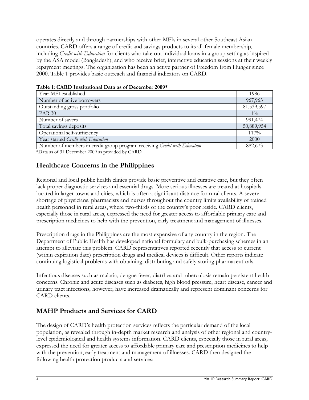operates directly and through partnerships with other MFIs in several other Southeast Asian countries. CARD offers a range of credit and savings products to its all-female membership, including *Credit with Education* for clients who take out individual loans in a group setting as inspired by the ASA model (Bangladesh), and who receive brief, interactive education sessions at their weekly repayment meetings. The organization has been an active partner of Freedom from Hunger since 2000. Table 1 provides basic outreach and financial indicators on CARD.

| Year MFI established                                                      | 1986       |
|---------------------------------------------------------------------------|------------|
| Number of active borrowers                                                | 967,963    |
| Outstanding gross portfolio                                               | 81,539,597 |
| <b>PAR 30</b>                                                             | $1\%$      |
| Number of savers                                                          | 991,474    |
| Total savings deposits                                                    | 50,889,954 |
| Operational self-sufficiency                                              | 117%       |
| Year started Credit with Education                                        | 2000       |
| Number of members in credit group program receiving Credit with Education | 882,673    |

| Table 1: CARD Institutional Data as of December 2009* |  |
|-------------------------------------------------------|--|
|-------------------------------------------------------|--|

\*Data as of 31 December 2009 as provided by CARD

### **Healthcare Concerns in the Philippines**

Regional and local public health clinics provide basic preventive and curative care, but they often lack proper diagnostic services and essential drugs. More serious illnesses are treated at hospitals located in larger towns and cities, which is often a significant distance for rural clients. A severe shortage of physicians, pharmacists and nurses throughout the country limits availability of trained health personnel in rural areas, where two-thirds of the country's poor reside. CARD clients, especially those in rural areas, expressed the need for greater access to affordable primary care and prescription medicines to help with the prevention, early treatment and management of illnesses.

Prescription drugs in the Philippines are the most expensive of any country in the region. The Department of Public Health has developed national formulary and bulk-purchasing schemes in an attempt to alleviate this problem. CARD representatives reported recently that access to current (within expiration date) prescription drugs and medical devices is difficult. Other reports indicate continuing logistical problems with obtaining, distributing and safely storing pharmaceuticals.

Infectious diseases such as malaria, dengue fever, diarrhea and tuberculosis remain persistent health concerns. Chronic and acute diseases such as diabetes, high blood pressure, heart disease, cancer and urinary tract infections, however, have increased dramatically and represent dominant concerns for CARD clients.

# **MAHP Products and Services for CARD**

The design of CARD's health protection services reflects the particular demand of the local population, as revealed through in-depth market research and analysis of other regional and countrylevel epidemiological and health systems information. CARD clients, especially those in rural areas, expressed the need for greater access to affordable primary care and prescription medicines to help with the prevention, early treatment and management of illnesses. CARD then designed the following health protection products and services: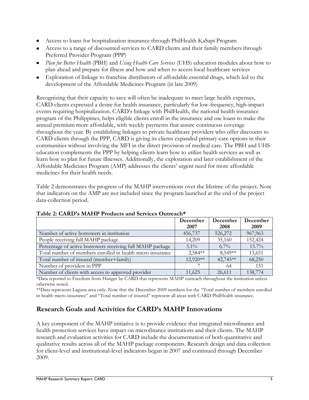- Access to loans for hospitalization insurance through PhilHealth KaSapi Program
- Access to a range of discounted services to CARD clients and their family members through Preferred Provider Program (PPP)
- *Plan for Better Health* (PBH) and *Using Health Care Services* (UHS) education modules about how to plan ahead and prepare for illness and how and when to access local healthcare services
- Exploration of linkage to franchise distributors of affordable essential drugs, which led to the development of the Affordable Medicines Program (in late 2009)

Recognizing that their capacity to save will often be inadequate to meet large health expenses, CARD clients expressed a desire for health insurance, particularly for low-frequency, high-impact events requiring hospitalization. CARD's linkage with PhilHealth, the national health insurance program of the Philippines, helps eligible clients enroll in the insurance and use loans to make the annual premium more affordable, with weekly payments that assure continuous coverage throughout the year. By establishing linkages to private healthcare providers who offer discounts to CARD clients through the PPP, CARD is giving its clients expanded primary-care options in their communities without involving the MFI in the direct provision of medical care. The PBH and UHS education complements the PPP by helping clients learn how to utilize health services as well as learn how to plan for future illnesses. Additionally, the exploration and later establishment of the Affordable Medicines Program (AMP) addresses the clients' urgent need for more affordable medicines for their health needs.

Table 2 demonstrates the progress of the MAHP interventions over the lifetime of the project. Note that indicators on the AMP are not included since the program launched at the end of the project data-collection period.

|                                                            | December   | December | December |
|------------------------------------------------------------|------------|----------|----------|
|                                                            | 2007       | 2008     | 2009     |
| Number of active borrowers in institution                  | 456,737    | 526,272  | 967,963  |
| People receiving full MAHP package                         | 14,209     | 35,160   | 152,424  |
| Percentage of active borrowers receiving full MAHP package | $3.1\%$    | $6.7\%$  | $15.7\%$ |
| Total number of members enrolled in health micro-insurance | 2,584**    | 8,549**  | 13,651   |
| Total number of insured (member+family)                    | $12.920**$ | 42,745** | 68,250   |
| Number of providers in PPP                                 |            | 64       | 151      |
| Number of clients with access to approved provider         | 11,625     | 26,611   | 138,774  |

#### **Table 2: CARD's MAHP Products and Services Outreach\***

\*Data reported to Freedom from Hunger by CARD that represents MAHP outreach throughout the institution unless otherwise noted.

\*\*Data represents Laguna area only. Note that the December 2009 numbers for the "Total number of members enrolled in health micro-insurance" and "Total number of insured" represent all areas with CARD PhilHealth insurance.

# **Research Goals and Activities for CARD's MAHP Innovations**

A key component of the MAHP initiative is to provide evidence that integrated microfinance and health protection services have impact on microfinance institutions and their clients. The MAHP research and evaluation activities for CARD include the documentation of both quantitative and qualitative results across all of the MAHP package components. Research design and data collection for client-level and institutional-level indicators began in 2007 and continued through December 2009.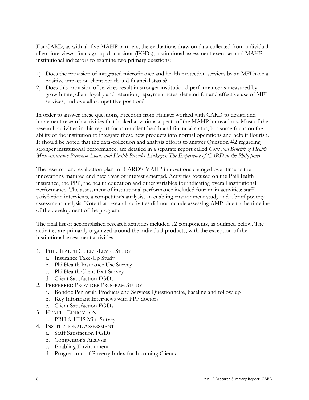For CARD, as with all five MAHP partners, the evaluations draw on data collected from individual client interviews, focus-group discussions (FGDs), institutional assessment exercises and MAHP institutional indicators to examine two primary questions:

- 1) Does the provision of integrated microfinance and health protection services by an MFI have a positive impact on client health and financial status?
- 2) Does this provision of services result in stronger institutional performance as measured by growth rate, client loyalty and retention, repayment rates, demand for and effective use of MFI services, and overall competitive position?

In order to answer these questions, Freedom from Hunger worked with CARD to design and implement research activities that looked at various aspects of the MAHP innovations. Most of the research activities in this report focus on client health and financial status, but some focus on the ability of the institution to integrate these new products into normal operations and help it flourish. It should be noted that the data-collection and analysis efforts to answer Question #2 regarding stronger institutional performance, are detailed in a separate report called *Costs and Benefits of Health Micro-insurance Premium Loans and Health Provider Linkages: The Experience of CARD in the Philippines*.

The research and evaluation plan for CARD's MAHP innovations changed over time as the innovations matured and new areas of interest emerged. Activities focused on the PhilHealth insurance, the PPP, the health education and other variables for indicating overall institutional performance. The assessment of institutional performance included four main activities: staff satisfaction interviews, a competitor's analysis, an enabling environment study and a brief poverty assessment analysis. Note that research activities did not include assessing AMP, due to the timeline of the development of the program.

The final list of accomplished research activities included 12 components, as outlined below. The activities are primarily organized around the individual products, with the exception of the institutional assessment activities.

- 1. PHILHEALTH CLIENT-LEVEL STUDY
	- a. Insurance Take-Up Study
	- b. PhilHealth Insurance Use Survey
	- c. PhilHealth Client Exit Survey
	- d. Client Satisfaction FGDs
- 2. PREFERRED PROVIDER PROGRAM STUDY
	- a. Bondoc Peninsula Products and Services Questionnaire, baseline and follow-up
	- b. Key Informant Interviews with PPP doctors
	- c. Client Satisfaction FGDs
- 3. HEALTH EDUCATION
	- a. PBH & UHS Mini-Survey
- 4. INSTITUTIONAL ASSESSMENT
	- a. Staff Satisfaction FGDs
	- b. Competitor's Analysis
	- c. Enabling Environment
	- d. Progress out of Poverty Index for Incoming Clients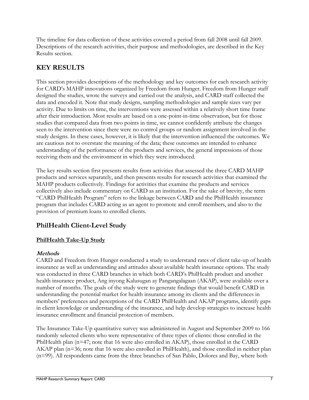The timeline for data collection of these activities covered a period from fall 2008 until fall 2009. Descriptions of the research activities, their purpose and methodologies, are described in the Key Results section.

# **KEY RESULTS**

This section provides descriptions of the methodology and key outcomes for each research activity for CARD's MAHP innovations organized by Freedom from Hunger. Freedom from Hunger staff designed the studies, wrote the surveys and carried out the analysis, and CARD staff collected the data and encoded it. Note that study designs, sampling methodologies and sample sizes vary per activity. Due to limits on time, the interventions were assessed within a relatively short time frame after their introduction. Most results are based on a one-point-in-time observation, but for those studies that compared data from two points in time, we cannot confidently attribute the changes seen to the intervention since there were no control groups or random assignment involved in the study designs. In these cases, however, it is likely that the intervention influenced the outcomes. We are cautious not to overstate the meaning of the data; these outcomes are intended to enhance understanding of the performance of the products and services, the general impressions of those receiving them and the environment in which they were introduced.

The key results section first presents results from activities that assessed the three CARD MAHP products and services separately, and then presents results for research activities that examined the MAHP products collectively. Findings for activities that examine the products and services collectively also include commentary on CARD as an institution. For the sake of brevity, the term ―CARD PhilHealth Program‖ refers to the linkage between CARD and the PhilHealth insurance program that includes CARD acting as an agent to promote and enroll members, and also to the provision of premium loans to enrolled clients.

# **PhilHealth Client-Level Study**

#### **PhilHealth Take-Up Study**

#### **Methods**

CARD and Freedom from Hunger conducted a study to understand rates of client take-up of health insurance as well as understanding and attitudes about available health insurance options. The study was conducted in three CARD branches in which both CARD's PhilHealth product and another health insurance product, Ang inyong Kalusugan ay Pangangalagaan (AKAP), were available over a number of months. The goals of the study were to generate findings that would benefit CARD in understanding the potential market for health insurance among its clients and the differences in members' preferences and perceptions of the CARD PhilHealth and AKAP programs, identify gaps in client knowledge or understanding of the insurance, and help develop strategies to increase health insurance enrollment and financial protection of members.

The Insurance Take-Up quantitative survey was administered in August and September 2009 to 166 randomly selected clients who were representative of three types of clients: those enrolled in the PhilHealth plan (n=47; note that 16 were also enrolled in AKAP), those enrolled in the CARD AKAP plan (n=36; note that 16 were also enrolled in PhilHealth), and those enrolled in neither plan (n=99). All respondents came from the three branches of San Pablo, Dolores and Bay, where both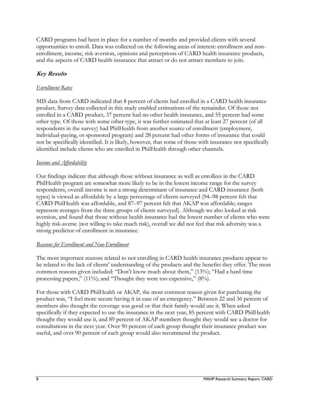CARD programs had been in place for a number of months and provided clients with several opportunities to enroll. Data was collected on the following areas of interest: enrollment and nonenrollment, income, risk aversion, opinions and perceptions of CARD health insurance products, and the aspects of CARD health insurance that attract or do not attract members to join.

### **Key Results**

### *Enrollment Rates*

MIS data from CARD indicated that 8 percent of clients had enrolled in a CARD health insurance product. Survey data collected in this study enabled estimations of the remainder. Of those not enrolled in a CARD product, 37 percent had no other health insurance, and 55 percent had some other type. Of those with some other type, it was further estimated that at least 27 percent (of all respondents in the survey) had PhilHealth from another source of enrollment (employment, individual-paying, or sponsored program) and 28 percent had other forms of insurance that could not be specifically identified. It is likely, however, that some of those with insurance not specifically identified include clients who are enrolled in PhilHealth through other channels.

#### *Income and Affordability*

Our findings indicate that although those without insurance as well as enrollees in the CARD PhilHealth program are somewhat more likely to be in the lowest income range for the survey respondents, overall income is not a strong determinant of insurance and CARD insurance (both types) is viewed as affordable by a large percentage of clients surveyed (94–98 percent felt that CARD PhilHealth was affordable, and 87–97 percent felt that AKAP was affordable; ranges represent averages from the three groups of clients surveyed). Although we also looked at risk aversion, and found that those without health insurance had the lowest number of clients who were highly risk-averse (not willing to take much risk), overall we did not feel that risk adversity was a strong predictor of enrollment in insurance.

#### *Reasons for Enrollment and Non-Enrollment*

The most important reasons related to not enrolling in CARD health insurance products appear to be related to the lack of clients' understanding of the products and the benefits they offer. The most common reasons given included: "Don't know much about them," (13%); "Had a hard time processing papers," (11%); and "Thought they were too expensive,"  $(8\%)$ .

For those with CARD PhilHealth or AKAP, the most common reason given for purchasing the product was, "I feel more secure having it in case of an emergency." Between 22 and 36 percent of members also thought the coverage was good or that their family would use it. When asked specifically if they expected to use the insurance in the next year, 85 percent with CARD PhilHealth thought they would use it, and 89 percent of AKAP members thought they would see a doctor for consultations in the next year. Over 90 percent of each group thought their insurance product was useful, and over 90 percent of each group would also recommend the product.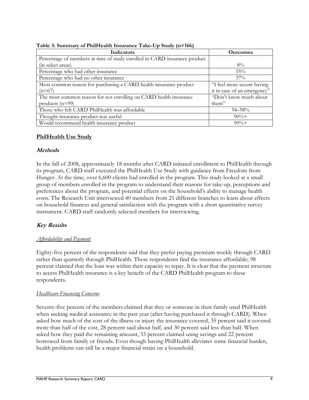| Indicators                                                                | <b>Outcomes</b>             |
|---------------------------------------------------------------------------|-----------------------------|
| Percentage of members at time of study enrolled in CARD insurance product |                             |
| (in select areas)                                                         | $8\%$                       |
| Percentage who had other insurance                                        | $55\%$                      |
| Percentage who had no other insurance                                     | $37\%$                      |
| Most common reason for purchasing a CARD health insurance product         | "I feel more secure having  |
| $(n=67)$                                                                  | it in case of an emergency" |
| The most common reason for not enrolling on CARD health insurance         | "Don't know much about      |
| products $(n=99)$                                                         | them"                       |
| Those who felt CARD PhilHealth was affordable                             | $94 - 98\%$                 |
| Thought insurance product was useful                                      | $90\% +$                    |
| Would recommend health insurance product                                  | $90%+$                      |

**Table 3: Summary of PhilHealth Insurance Take-Up Study (n=166)**

### **PhilHealth Use Study**

#### **Methods**

In the fall of 2008, approximately 18 months after CARD initiated enrollment to PhilHealth through its program, CARD staff executed the PhilHealth Use Study with guidance from Freedom from Hunger. At the time, over 6,600 clients had enrolled in the program. This study looked at a small group of members enrolled in the program to understand their reasons for take-up, perceptions and preferences about the program, and potential effects on the household's ability to manage health costs. The Research Unit interviewed 40 members from 21 different branches to learn about effects on household finances and general satisfaction with the program with a short quantitative survey instrument. CARD staff randomly selected members for interviewing.

#### **Key Results**

#### *Affordability and Payment*

Eighty-five percent of the respondents said that they prefer paying premium weekly through CARD rather than quarterly through PhilHealth. These respondents find the insurance affordable; 98 percent claimed that the loan was within their capacity to repay. It is clear that the payment structure to access PhilHealth insurance is a key benefit of the CARD PhilHealth program to these respondents.

#### *Healthcare Financing Concerns*

Seventy-five percent of the members claimed that they or someone in their family used PhilHealth when seeking medical assistance in the past year (after having purchased it through CARD). When asked how much of the cost of the illness or injury the insurance covered, 35 percent said it covered more than half of the cost, 28 percent said about half, and 30 percent said less than half. When asked how they paid the remaining amount, 33 percent claimed using savings and 22 percent borrowed from family or friends. Even though having PhilHealth alleviates some financial burden, health problems can still be a major financial strain on a household.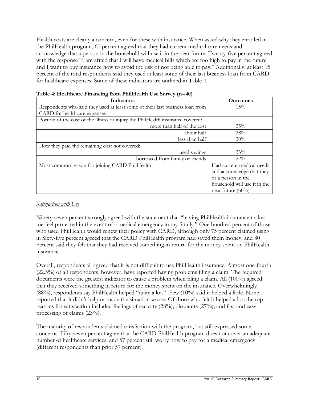Health costs are clearly a concern, even for these with insurance. When asked why they enrolled in the PhilHealth program, 60 percent agreed that they had current medical care needs and acknowledge that a person in the household will use it in the near future. Twenty-five percent agreed with the response "I am afraid that I will have medical bills which are too high to pay in the future and I want to buy insurance now to avoid the risk of not being able to pay." Additionally, at least 15 percent of the total respondents said they used at least some of their last business loan from CARD for healthcare expenses. Some of these indicators are outlined in Table 4.

| Indicators                                                                     | <b>Outcomes</b>              |
|--------------------------------------------------------------------------------|------------------------------|
| Respondents who said they used at least some of their last business loan from  | 15%                          |
| CARD for healthcare expenses                                                   |                              |
| Portion of the cost of the illness or injury the PhilHealth insurance covered: |                              |
| more than half of the cost                                                     | 35%                          |
| about half                                                                     | 28%                          |
| less than half                                                                 | 30%                          |
| How they paid the remaining cost not covered:                                  |                              |
| used savings                                                                   | 33%                          |
| borrowed from family or friends                                                | $22\%$                       |
| Most common reason for joining CARD PhilHealth                                 | Had current medical needs    |
|                                                                                | and acknowledge that they    |
|                                                                                | or a person in the           |
|                                                                                | household will use it in the |
|                                                                                | near future $(60\%)$         |

| Table 4: Healthcare Financing from PhilHealth Use Survey (n=40) |  |  |
|-----------------------------------------------------------------|--|--|
|-----------------------------------------------------------------|--|--|

#### *Satisfaction with Use*

Ninety-seven percent strongly agreed with the statement that "having PhilHealth insurance makes" me feel protected in the event of a medical emergency in my family." One hundred percent of those who used PhilHealth would renew their policy with CARD, although only 75 percent claimed using it. Sixty-five percent agreed that the CARD PhilHealth program had saved them money, and 80 percent said they felt that they had received something in return for the money spent on PhilHealth insurance.

Overall, respondents all agreed that it is not difficult to use PhilHealth insurance. Almost one-fourth (22.5%) of all respondents, however, have reported having problems filing a claim. The required documents were the greatest indicator to cause a problem when filing a claim. All (100%) agreed that they received something in return for the money spent on the insurance. Overwhelmingly (88%), respondents say PhilHealth helped "quite a lot." Few (10%) said it helped a little. None reported that it didn't help or made the situation worse. Of those who felt it helped a lot, the top reasons for satisfaction included feelings of security (28%); discounts (27%); and fast and easy processing of claims (23%).

The majority of respondents claimed satisfaction with the program, but still expressed some concerns. Fifty-seven percent agree that the CARD PhilHealth program does not cover an adequate number of healthcare services; and 57 percent still worry how to pay for a medical emergency (different respondents than prior 57 percent).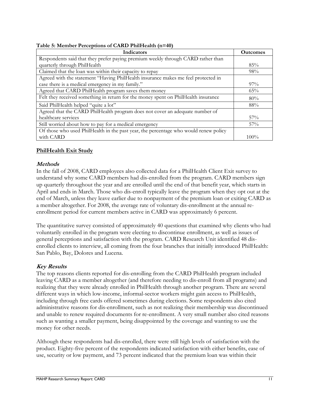|  | Table 5: Member Perceptions of CARD PhilHealth (n=40) |  |  |  |
|--|-------------------------------------------------------|--|--|--|
|--|-------------------------------------------------------|--|--|--|

| Indicators                                                                           | <b>Outcomes</b> |
|--------------------------------------------------------------------------------------|-----------------|
| Respondents said that they prefer paying premium weekly through CARD rather than     |                 |
| quarterly through PhilHealth                                                         | 85%             |
| Claimed that the loan was within their capacity to repay                             | 98%             |
| Agreed with the statement "Having PhilHealth insurance makes me feel protected in    |                 |
| case there is a medical emergency in my family."                                     | $97\%$          |
| Agreed that CARD PhilHealth program saves them money                                 | 65%             |
| Felt they received something in return for the money spent on PhilHealth insurance   | 80%             |
| Said PhilHealth helped "quite a lot"                                                 | 88%             |
| Agreed that the CARD PhilHealth program does not cover an adequate number of         |                 |
| healthcare services                                                                  | $57\%$          |
| Still worried about how to pay for a medical emergency                               | $57\%$          |
| Of those who used PhilHealth in the past year, the percentage who would renew policy |                 |
| with CARD                                                                            | $100\%$         |

#### **PhilHealth Exit Study**

#### **Methods**

In the fall of 2008, CARD employees also collected data for a PhilHealth Client Exit survey to understand why some CARD members had dis-enrolled from the program. CARD members sign up quarterly throughout the year and are enrolled until the end of that benefit year, which starts in April and ends in March. Those who dis-enroll typically leave the program when they opt out at the end of March, unless they leave earlier due to nonpayment of the premium loan or exiting CARD as a member altogether. For 2008, the average rate of voluntary dis-enrollment at the annual reenrollment period for current members active in CARD was approximately 6 percent.

The quantitative survey consisted of approximately 40 questions that examined why clients who had voluntarily enrolled in the program were electing to discontinue enrollment, as well as issues of general perceptions and satisfaction with the program. CARD Research Unit identified 48 disenrolled clients to interview, all coming from the four branches that initially introduced PhilHealth: San Pablo, Bay, Dolores and Lucena.

#### **Key Results**

The top reasons clients reported for dis-enrolling from the CARD PhilHealth program included leaving CARD as a member altogether (and therefore needing to dis-enroll from all programs) and realizing that they were already enrolled in PhilHealth through another program. There are several different ways in which low-income, informal-sector workers might gain access to PhilHealth, including through free cards offered sometimes during elections. Some respondents also cited administrative reasons for dis-enrollment, such as not realizing their membership was discontinued and unable to renew required documents for re-enrollment. A very small number also cited reasons such as wanting a smaller payment, being disappointed by the coverage and wanting to use the money for other needs.

Although these respondents had dis-enrolled, there were still high levels of satisfaction with the product. Eighty-five percent of the respondents indicated satisfaction with either benefits, ease of use, security or low payment, and 73 percent indicated that the premium loan was within their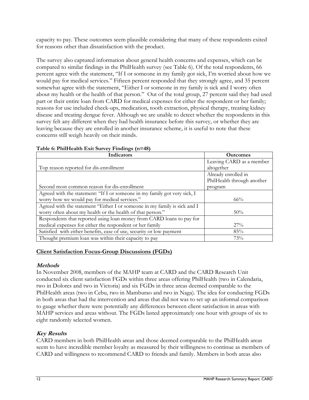capacity to pay. These outcomes seem plausible considering that many of these respondents exited for reasons other than dissatisfaction with the product.

The survey also captured information about general health concerns and expenses, which can be compared to similar findings in the PhilHealth survey (see Table 6). Of the total respondents, 66 percent agree with the statement, "If I or someone in my family got sick, I'm worried about how we would pay for medical services." Fifteen percent responded that they strongly agree, and 35 percent somewhat agree with the statement, "Either I or someone in my family is sick and I worry often about my health or the health of that person." Out of the total group, 27 percent said they had used part or their entire loan from CARD for medical expenses for either the respondent or her family; reasons for use included check-ups, medication, tooth extraction, physical therapy, treating kidney disease and treating dengue fever. Although we are unable to detect whether the respondents in this survey felt any different when they had health insurance before this survey, or whether they are leaving because they are enrolled in another insurance scheme, it is useful to note that these concerns still weigh heavily on their minds.

| Indicators                                                                | <b>Outcomes</b>            |
|---------------------------------------------------------------------------|----------------------------|
|                                                                           | Leaving CARD as a member   |
| Top reason reported for dis-enrollment                                    | altogether                 |
|                                                                           | Already enrolled in        |
|                                                                           | PhilHealth through another |
| Second most common reason for dis-enrollment                              | program                    |
| Agreed with the statement: "If I or someone in my family got very sick, I |                            |
| worry how we would pay for medical services."                             | $66\%$                     |
| Agreed with the statement "Either I or someone in my family is sick and I |                            |
| worry often about my health or the health of that person."                | $50\%$                     |
| Respondents that reported using loan money from CARD loans to pay for     |                            |
| medical expenses for either the respondent or her family                  | 27%                        |
| Satisfied with either benefits, ease of use, security or low payment      | 85%                        |
| Thought premium loan was within their capacity to pay                     | 73%                        |

### **Table 6: PhilHealth Exit Survey Findings (n=48)**

### **Client Satisfaction Focus-Group Discussions (FGDs)**

### **Methods**

In November 2008, members of the MAHP team at CARD and the CARD Research Unit conducted six client satisfaction FGDs within three areas offering PhilHealth (two in Calendaria, two in Dolores and two in Victoria) and six FGDs in three areas deemed comparable to the PhilHealth areas (two in Cebu, two in Mamburao and two in Naga). The idea for conducting FGDs in both areas that had the intervention and areas that did not was to set up an informal comparison to gauge whether there were potentially any differences between client satisfaction in areas with MAHP services and areas without. The FGDs lasted approximately one hour with groups of six to eight randomly selected women.

# **Key Results**

CARD members in both PhilHealth areas and those deemed comparable to the PhilHealth areas seem to have incredible member loyalty as measured by their willingness to continue as members of CARD and willingness to recommend CARD to friends and family. Members in both areas also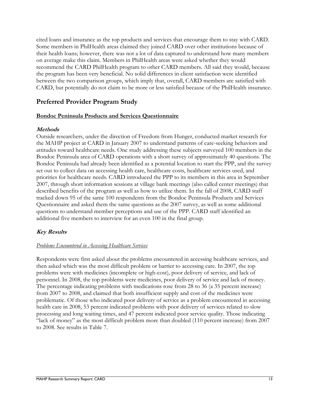cited loans and insurance as the top products and services that encourage them to stay with CARD. Some members in PhilHealth areas claimed they joined CARD over other institutions because of their health loans; however, there was not a lot of data captured to understand how many members on average make this claim. Members in PhilHealth areas were asked whether they would recommend the CARD PhilHealth program to other CARD members. All said they would, because the program has been very beneficial. No solid differences in client satisfaction were identified between the two comparison groups, which imply that, overall, CARD members are satisfied with CARD, but potentially do not claim to be more or less satisfied because of the PhilHealth insurance.

### **Preferred Provider Program Study**

#### **Bondoc Peninsula Products and Services Questionnaire**

#### **Methods**

Outside researchers, under the direction of Freedom from Hunger, conducted market research for the MAHP project at CARD in January 2007 to understand patterns of care-seeking behaviors and attitudes toward healthcare needs. One study addressing these subjects surveyed 100 members in the Bondoc Peninsula area of CARD operations with a short survey of approximately 40 questions. The Bondoc Peninsula had already been identified as a potential location to start the PPP, and the survey set out to collect data on accessing health care, healthcare costs, healthcare services used, and priorities for healthcare needs. CARD introduced the PPP to its members in this area in September 2007, through short information sessions at village bank meetings (also called center meetings) that described benefits of the program as well as how to utilize them. In the fall of 2008, CARD staff tracked down 95 of the same 100 respondents from the Bondoc Peninsula Products and Services Questionnaire and asked them the same questions as the 2007 survey, as well as some additional questions to understand member perceptions and use of the PPP. CARD staff identified an additional five members to interview for an even 100 in the final group.

#### **Key Results**

#### *Problems Encountered in Accessing Healthcare Services*

Respondents were first asked about the problems encountered in accessing healthcare services, and then asked which was the most difficult problem or barrier to accessing care. In 2007, the top problems were with medicines (incomplete or high-cost), poor delivery of service, and lack of personnel. In 2008, the top problems were medicines, poor delivery of service and lack of money. The percentage indicating problems with medications rose from 28 to 36 (a 35 percent increase) from 2007 to 2008, and claimed that both insufficient supply and cost of the medicines were problematic. Of those who indicated poor delivery of service as a problem encountered in accessing health care in 2008, 53 percent indicated problems with poor delivery of services related to slow processing and long waiting times, and 47 percent indicated poor service quality. Those indicating "lack of money" as the most difficult problem more than doubled (110 percent increase) from 2007 to 2008. See results in Table 7.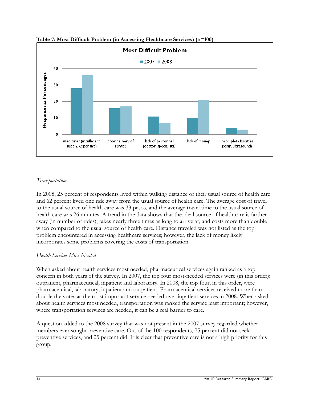

**Table 7: Most Difficult Problem (in Accessing Healthcare Services) (n=100)**

### *Transportation*

In 2008, 25 percent of respondents lived within walking distance of their usual source of health care and 62 percent lived one ride away from the usual source of health care. The average cost of travel to the usual source of health care was 33 pesos, and the average travel time to the usual source of health care was 26 minutes. A trend in the data shows that the ideal source of health care is farther away (in number of rides), takes nearly three times as long to arrive at, and costs more than double when compared to the usual source of health care. Distance traveled was not listed as the top problem encountered in accessing healthcare services; however, the lack of money likely incorporates some problems covering the costs of transportation.

#### *Health Services Most Needed*

When asked about health services most needed, pharmaceutical services again ranked as a top concern in both years of the survey. In 2007, the top four most-needed services were (in this order): outpatient, pharmaceutical, inpatient and laboratory. In 2008, the top four, in this order, were pharmaceutical, laboratory, inpatient and outpatient. Pharmaceutical services received more than double the votes as the most important service needed over inpatient services in 2008. When asked about health services most needed, transportation was ranked the service least important; however, where transportation services are needed, it can be a real barrier to care.

A question added to the 2008 survey that was not present in the 2007 survey regarded whether members ever sought preventive care. Out of the 100 respondents, 75 percent did not seek preventive services, and 25 percent did. It is clear that preventive care is not a high priority for this group.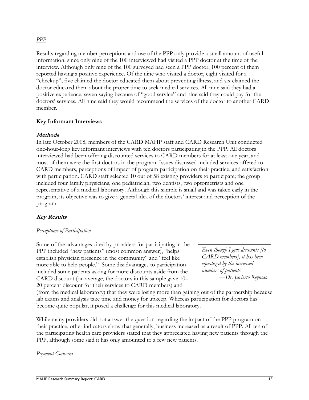#### *PPP*

Results regarding member perceptions and use of the PPP only provide a small amount of useful information, since only nine of the 100 interviewed had visited a PPP doctor at the time of the interview. Although only nine of the 100 surveyed had seen a PPP doctor, 100 percent of them reported having a positive experience. Of the nine who visited a doctor, eight visited for a ―checkup‖; five claimed the doctor educated them about preventing illness; and six claimed the doctor educated them about the proper time to seek medical services. All nine said they had a positive experience, seven saying because of "good service" and nine said they could pay for the doctors' services. All nine said they would recommend the services of the doctor to another CARD member.

#### **Key Informant Interviews**

#### **Methods**

In late October 2008, members of the CARD MAHP staff and CARD Research Unit conducted one-hour-long key informant interviews with ten doctors participating in the PPP. All doctors interviewed had been offering discounted services to CARD members for at least one year, and most of them were the first doctors in the program. Issues discussed included services offered to CARD members, perceptions of impact of program participation on their practice, and satisfaction with participation. CARD staff selected 10 out of 58 existing providers to participate; the group included four family physicians, one pediatrician, two dentists, two optometrists and one representative of a medical laboratory. Although this sample is small and was taken early in the program, its objective was to give a general idea of the doctors' interest and perception of the program.

#### **Key Results**

#### *Perceptions of Participation*

Some of the advantages cited by providers for participating in the PPP included "new patients" (most common answer), "helps establish physician presence in the community" and "feel like more able to help people." Some disadvantages to participation included some patients asking for more discounts aside from the CARD discount (on average, the doctors in this sample gave 10– 20 percent discount for their services to CARD members) and

*Even though I give discounts [to CARD members], it has been equalized by the increased numbers of patients. —Dr. Javierto Reynoso*

(from the medical laboratory) that they were losing more than gaining out of the partnership because lab exams and analysis take time and money for upkeep. Whereas participation for doctors has become quite popular, it posed a challenge for this medical laboratory.

While many providers did not answer the question regarding the impact of the PPP program on their practice, other indicators show that generally, business increased as a result of PPP. All ten of the participating health care providers stated that they appreciated having new patients through the PPP, although some said it has only amounted to a few new patients.

#### *Payment Concerns*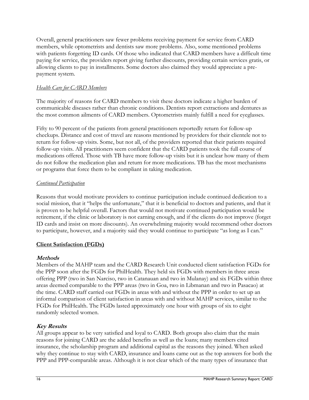Overall, general practitioners saw fewer problems receiving payment for service from CARD members, while optometrists and dentists saw more problems. Also, some mentioned problems with patients forgetting ID cards. Of those who indicated that CARD members have a difficult time paying for service, the providers report giving further discounts, providing certain services gratis, or allowing clients to pay in installments. Some doctors also claimed they would appreciate a prepayment system.

#### *Health Care for CARD Members*

The majority of reasons for CARD members to visit these doctors indicate a higher burden of communicable diseases rather than chronic conditions. Dentists report extractions and dentures as the most common ailments of CARD members. Optometrists mainly fulfill a need for eyeglasses.

Fifty to 90 percent of the patients from general practitioners reportedly return for follow-up checkups. Distance and cost of travel are reasons mentioned by providers for their clientele not to return for follow-up visits. Some, but not all, of the providers reported that their patients required follow-up visits. All practitioners seem confident that the CARD patients took the full course of medications offered. Those with TB have more follow-up visits but it is unclear how many of them do not follow the medication plan and return for more medications. TB has the most mechanisms or programs that force them to be compliant in taking medication.

#### *Continued Participation*

Reasons that would motivate providers to continue participation include continued dedication to a social mission, that it "helps the unfortunate," that it is beneficial to doctors and patients, and that it is proven to be helpful overall. Factors that would not motivate continued participation would be retirement, if the clinic or laboratory is not earning enough, and if the clients do not improve (forget ID cards and insist on more discounts). An overwhelming majority would recommend other doctors to participate, however, and a majority said they would continue to participate "as long as I can."

#### **Client Satisfaction (FGDs)**

#### **Methods**

Members of the MAHP team and the CARD Research Unit conducted client satisfaction FGDs for the PPP soon after the FGDs for PhilHealth. They held six FGDs with members in three areas offering PPP (two in San Narciso, two in Catanauan and two in Mulanay) and six FGDs within three areas deemed comparable to the PPP areas (two in Goa, two in Libmanan and two in Pasacao) at the time. CARD staff carried out FGDs in areas with and without the PPP in order to set up an informal comparison of client satisfaction in areas with and without MAHP services, similar to the FGDs for PhilHealth. The FGDs lasted approximately one hour with groups of six to eight randomly selected women.

### **Key Results**

All groups appear to be very satisfied and loyal to CARD. Both groups also claim that the main reasons for joining CARD are the added benefits as well as the loans; many members cited insurance, the scholarship program and additional capital as the reasons they joined. When asked why they continue to stay with CARD, insurance and loans came out as the top answers for both the PPP and PPP-comparable areas. Although it is not clear which of the many types of insurance that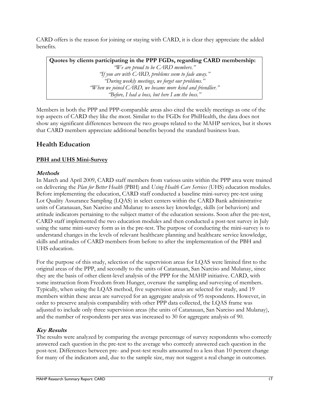CARD offers is the reason for joining or staying with CARD, it is clear they appreciate the added benefits.

**Quotes by clients participating in the PPP FGDs, regarding CARD membership:** *"We are proud to be CARD members." "If you are with CARD, problems seem to fade away." "During weekly meetings, we forget our problems." "When we joined CARD, we became more kind and friendlier." "Before, I had a boss, but here I am the boss."*

Members in both the PPP and PPP-comparable areas also cited the weekly meetings as one of the top aspects of CARD they like the most. Similar to the FGDs for PhilHealth, the data does not show any significant differences between the two groups related to the MAHP services, but it shows that CARD members appreciate additional benefits beyond the standard business loan.

# **Health Education**

### **PBH and UHS Mini-Survey**

### **Methods**

In March and April 2009, CARD staff members from various units within the PPP area were trained on delivering the *Plan for Better Health* (PBH) and *Using Health Care Services* (UHS) education modules. Before implementing the education, CARD staff conducted a baseline mini-survey pre-test using Lot Quality Assurance Sampling (LQAS) in select centers within the CARD Bank administrative units of Catanauan, San Narciso and Mulanay to assess key knowledge, skills (or behaviors) and attitude indicators pertaining to the subject matter of the education sessions. Soon after the pre-test, CARD staff implemented the two education modules and then conducted a post-test survey in July using the same mini-survey form as in the pre-test. The purpose of conducting the mini-survey is to understand changes in the levels of relevant healthcare planning and healthcare service knowledge, skills and attitudes of CARD members from before to after the implementation of the PBH and UHS education.

For the purpose of this study, selection of the supervision areas for LQAS were limited first to the original areas of the PPP, and secondly to the units of Catanauan, San Narciso and Mulanay, since they are the basis of other client-level analysis of the PPP for the MAHP initiative. CARD, with some instruction from Freedom from Hunger, oversaw the sampling and surveying of members. Typically, when using the LQAS method, five supervision areas are selected for study, and 19 members within these areas are surveyed for an aggregate analysis of 95 respondents. However, in order to preserve analysis comparability with other PPP data collected, the LQAS frame was adjusted to include only three supervision areas (the units of Catanauan, San Narciso and Mulanay), and the number of respondents per area was increased to 30 for aggregate analysis of 90.

### **Key Results**

The results were analyzed by comparing the average percentage of survey respondents who correctly answered each question in the pre-test to the average who correctly answered each question in the post-test. Differences between pre- and post-test results amounted to a less than 10 percent change for many of the indicators and, due to the sample size, may not suggest a real change in outcomes.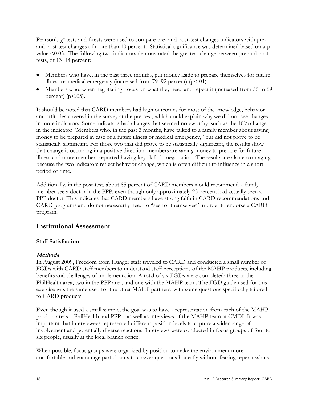Pearson's  $\chi^2$  tests and f-tests were used to compare pre- and post-test changes indicators with preand post-test changes of more than 10 percent. Statistical significance was determined based on a pvalue <0.05. The following two indicators demonstrated the greatest change between pre-and posttests, of 13–14 percent:

- Members who have, in the past three months, put money aside to prepare themselves for future illness or medical emergency (increased from  $79-92$  percent) ( $p<.01$ ).
- Members who, when negotiating, focus on what they need and repeat it (increased from 55 to 69 percent)  $(p<.05)$ .

It should be noted that CARD members had high outcomes for most of the knowledge, behavior and attitudes covered in the survey at the pre-test, which could explain why we did not see changes in more indicators. Some indicators had changes that seemed noteworthy, such as the 10% change in the indicator "Members who, in the past 3 months, have talked to a family member about saving money to be prepared in case of a future illness or medical emergency," but did not prove to be statistically significant. For those two that did prove to be statistically significant, the results show that change is occurring in a positive direction: members are saving money to prepare for future illness and more members reported having key skills in negotiation. The results are also encouraging because the two indicators reflect behavior change, which is often difficult to influence in a short period of time.

Additionally, in the post-test, about 85 percent of CARD members would recommend a family member see a doctor in the PPP, even though only approximately 23 percent had actually seen a PPP doctor. This indicates that CARD members have strong faith in CARD recommendations and CARD programs and do not necessarily need to "see for themselves" in order to endorse a CARD program.

# **Institutional Assessment**

#### **Staff Satisfaction**

### **Methods**

In August 2009, Freedom from Hunger staff traveled to CARD and conducted a small number of FGDs with CARD staff members to understand staff perceptions of the MAHP products, including benefits and challenges of implementation. A total of six FGDs were completed; three in the PhilHealth area, two in the PPP area, and one with the MAHP team. The FGD guide used for this exercise was the same used for the other MAHP partners, with some questions specifically tailored to CARD products.

Even though it used a small sample, the goal was to have a representation from each of the MAHP product areas—PhilHealth and PPP—as well as interviews of the MAHP team at CMDI. It was important that interviewees represented different position levels to capture a wider range of involvement and potentially diverse reactions. Interviews were conducted in focus groups of four to six people, usually at the local branch office.

When possible, focus groups were organized by position to make the environment more comfortable and encourage participants to answer questions honestly without fearing repercussions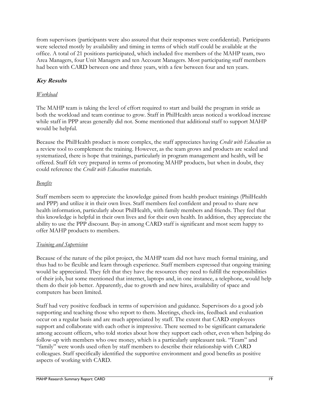from supervisors (participants were also assured that their responses were confidential). Participants were selected mostly by availability and timing in terms of which staff could be available at the office. A total of 21 positions participated, which included five members of the MAHP team, two Area Managers, four Unit Managers and ten Account Managers. Most participating staff members had been with CARD between one and three years, with a few between four and ten years.

### **Key Results**

#### *Workload*

The MAHP team is taking the level of effort required to start and build the program in stride as both the workload and team continue to grow. Staff in PhilHealth areas noticed a workload increase while staff in PPP areas generally did not. Some mentioned that additional staff to support MAHP would be helpful.

Because the PhilHealth product is more complex, the staff appreciates having *Credit with Education* as a review tool to complement the training. However, as the team grows and products are scaled and systematized, there is hope that trainings, particularly in program management and health, will be offered. Staff felt very prepared in terms of promoting MAHP products, but when in doubt, they could reference the *Credit with Education* materials.

#### *Benefits*

Staff members seem to appreciate the knowledge gained from health product trainings (PhilHealth and PPP) and utilize it in their own lives. Staff members feel confident and proud to share new health information, particularly about PhilHealth, with family members and friends. They feel that this knowledge is helpful in their own lives and for their own health. In addition, they appreciate the ability to use the PPP discount. Buy-in among CARD staff is significant and most seem happy to offer MAHP products to members.

#### *Training and Supervision*

Because of the nature of the pilot project, the MAHP team did not have much formal training, and thus had to be flexible and learn through experience. Staff members expressed that ongoing training would be appreciated. They felt that they have the resources they need to fulfill the responsibilities of their job, but some mentioned that internet, laptops and, in one instance, a telephone, would help them do their job better. Apparently, due to growth and new hires, availability of space and computers has been limited.

Staff had very positive feedback in terms of supervision and guidance. Supervisors do a good job supporting and teaching those who report to them. Meetings, check-ins, feedback and evaluation occur on a regular basis and are much appreciated by staff. The extent that CARD employees support and collaborate with each other is impressive. There seemed to be significant camaraderie among account officers, who told stories about how they support each other, even when helping do follow-up with members who owe money, which is a particularly unpleasant task. "Team" and "family" were words used often by staff members to describe their relationship with CARD colleagues. Staff specifically identified the supportive environment and good benefits as positive aspects of working with CARD.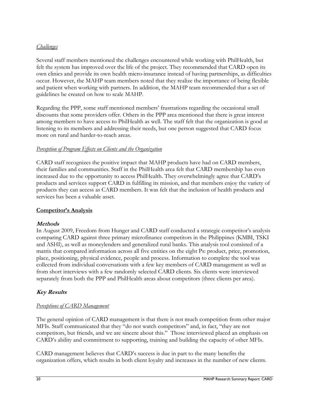#### *Challenges*

Several staff members mentioned the challenges encountered while working with PhilHealth, but felt the system has improved over the life of the project. They recommended that CARD open its own clinics and provide its own health micro-insurance instead of having partnerships, as difficulties occur. However, the MAHP team members noted that they realize the importance of being flexible and patient when working with partners. In addition, the MAHP team recommended that a set of guidelines be created on how to scale MAHP.

Regarding the PPP, some staff mentioned members' frustrations regarding the occasional small discounts that some providers offer. Others in the PPP area mentioned that there is great interest among members to have access to PhilHealth as well. The staff felt that the organization is good at listening to its members and addressing their needs, but one person suggested that CARD focus more on rural and harder-to-reach areas.

#### *Perception of Program Effects on Clients and the Organization*

CARD staff recognizes the positive impact that MAHP products have had on CARD members, their families and communities. Staff in the PhilHealth area felt that CARD membership has even increased due to the opportunity to access PhilHealth. They overwhelmingly agree that CARD's products and services support CARD in fulfilling its mission, and that members enjoy the variety of products they can access as CARD members. It was felt that the inclusion of health products and services has been a valuable asset.

#### **Competitor's Analysis**

#### **Methods**

In August 2009, Freedom from Hunger and CARD staff conducted a strategic competitor's analysis comparing CARD against three primary microfinance competitors in the Philippines (KMBI, TSKI and ASHI), as well as moneylenders and generalized rural banks. This analysis tool consisted of a matrix that compared information across all five entities on the eight Ps: product, price, promotion, place, positioning, physical evidence, people and process. Information to complete the tool was collected from individual conversations with a few key members of CARD management as well as from short interviews with a few randomly selected CARD clients. Six clients were interviewed separately from both the PPP and PhilHealth areas about competitors (three clients per area).

#### **Key Results**

#### *Perceptions of CARD Management*

The general opinion of CARD management is that there is not much competition from other major MFIs. Staff communicated that they "do not watch competitors" and, in fact, "they are not competitors, but friends, and we are sincere about this." Those interviewed placed an emphasis on CARD's ability and commitment to supporting, training and building the capacity of other MFIs.

CARD management believes that CARD's success is due in part to the many benefits the organization offers, which results in both client loyalty and increases in the number of new clients.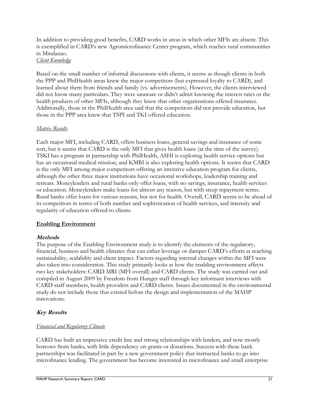In addition to providing good benefits, CARD works in areas in which other MFIs are absent. This is exemplified in CARD's new Agromicrofinance Center program, which reaches rural communities in Mindanao.

*Client Knowledge*

Based on the small number of informal discussions with clients, it seems as though clients in both the PPP and PhilHealth areas knew the major competitors (but expressed loyalty to CARD), and learned about them from friends and family (vs. advertisements). However, the clients interviewed did not know many particulars. They were unaware or didn't admit knowing the interest rates or the health products of other MFIs, although they knew that other organizations offered insurance. Additionally, those in the PhilHealth area said that the competitors did not provide education, but those in the PPP area knew that TSPI and TKI offered education.

#### *Matrix Results*

Each major MFI, including CARD, offers business loans, general savings and insurance of some sort, but it seems that CARD is the only MFI that gives health loans (at the time of the survey). TSKI has a program in partnership with PhilHealth, ASHI is exploring health service options but has an occasional medical mission, and KMBI is also exploring health options. It seems that CARD is the only MFI among major competitors offering an intensive education program for clients, although the other three major institutions have occasional workshops, leadership training and retreats. Moneylenders and rural banks only offer loans, with no savings, insurance, health services or education. Moneylenders make loans for almost any reason, but with steep repayment terms. Rural banks offer loans for various reasons, but not for health. Overall, CARD seems to be ahead of its competitors in terms of both number and sophistication of health services, and intensity and regularity of education offered to clients.

#### **Enabling Environment**

#### **Methods**

The purpose of the Enabling Environment study is to identify the elements of the regulatory, financial, business and health climates that can either leverage or damper CARD's efforts at reaching sustainability, scalability and client impact. Factors regarding internal changes within the MFI were also taken into consideration. This study primarily looks at how the enabling environment affects two key stakeholders: CARD MRI (MFI overall) and CARD clients. The study was carried out and compiled in August 2009 by Freedom from Hunger staff through key informant interviews with CARD staff members, health providers and CARD clients. Issues documented in the environmental study do not include those that existed before the design and implementation of the MAHP innovations.

### **Key Results**

### *Financial and Regulatory Climate*

CARD has built an impressive credit line and strong relationships with lenders, and now mostly borrows from banks, with little dependency on grants or donations. Success with these bank partnerships was facilitated in part by a new government policy that instructed banks to go into microfinance lending. The government has become interested in microfinance and small enterprise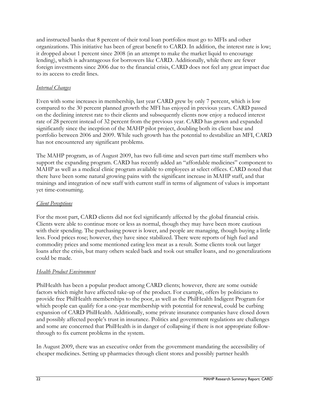and instructed banks that 8 percent of their total loan portfolios must go to MFIs and other organizations. This initiative has been of great benefit to CARD. In addition, the interest rate is low; it dropped about 1 percent since 2008 (in an attempt to make the market liquid to encourage lending), which is advantageous for borrowers like CARD. Additionally, while there are fewer foreign investments since 2006 due to the financial crisis, CARD does not feel any great impact due to its access to credit lines.

#### *Internal Changes*

Even with some increases in membership, last year CARD grew by only 7 percent, which is low compared to the 30 percent planned growth the MFI has enjoyed in previous years. CARD passed on the declining interest rate to their clients and subsequently clients now enjoy a reduced interest rate of 28 percent instead of 32 percent from the previous year. CARD has grown and expanded significantly since the inception of the MAHP pilot project, doubling both its client base and portfolio between 2006 and 2009. While such growth has the potential to destabilize an MFI, CARD has not encountered any significant problems.

The MAHP program, as of August 2009, has two full-time and seven part-time staff members who support the expanding program. CARD has recently added an "affordable medicines" component to MAHP as well as a medical clinic program available to employees at select offices. CARD noted that there have been some natural growing pains with the significant increase in MAHP staff, and that trainings and integration of new staff with current staff in terms of alignment of values is important yet time-consuming.

#### *Client Perceptions*

For the most part, CARD clients did not feel significantly affected by the global financial crisis. Clients were able to continue more or less as normal, though they may have been more cautious with their spending. The purchasing power is lower, and people are managing, though buying a little less. Food prices rose; however, they have since stabilized. There were reports of high fuel and commodity prices and some mentioned eating less meat as a result. Some clients took out larger loans after the crisis, but many others scaled back and took out smaller loans, and no generalizations could be made.

#### *Health Product Environment*

PhilHealth has been a popular product among CARD clients; however, there are some outside factors which might have affected take-up of the product. For example, offers by politicians to provide free PhilHealth memberships to the poor, as well as the PhilHealth Indigent Program for which people can qualify for a one-year membership with potential for renewal, could be curbing expansion of CARD PhilHealth. Additionally, some private insurance companies have closed down and possibly affected people's trust in insurance. Politics and government regulations are challenges and some are concerned that PhilHealth is in danger of collapsing if there is not appropriate followthrough to fix current problems in the system.

In August 2009, there was an executive order from the government mandating the accessibility of cheaper medicines. Setting up pharmacies through client stores and possibly partner health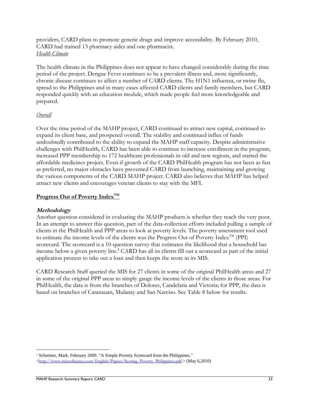providers, CARD plans to promote generic drugs and improve accessibility. By February 2010, CARD had trained 13 pharmacy aides and one pharmacist. *Health Climate*

The health climate in the Philippines does not appear to have changed considerably during the time period of the project. Dengue Fever continues to be a prevalent illness and, more significantly, chronic disease continues to affect a number of CARD clients. The H1N1 influenza, or swine flu, spread to the Philippines and in many cases affected CARD clients and family members, but CARD responded quickly with an education module, which made people feel more knowledgeable and prepared.

#### *Overall*

Over the time period of the MAHP project, CARD continued to attract new capital, continued to expand its client base, and prospered overall. The stability and continued influx of funds undoubtedly contributed to the ability to expand the MAHP staff capacity. Despite administrative challenges with PhilHealth, CARD has been able to continue to increase enrollment in the program, increased PPP membership to 172 healthcare professionals in old and new regions, and started the affordable medicines project. Even if growth of the CARD PhilHealth program has not been as fast as preferred, no major obstacles have prevented CARD from launching, maintaining and growing the various components of the CARD MAHP project. CARD also believes that MAHP has helped attract new clients and encourages veteran clients to stay with the MFI.

#### **Progress Out of Poverty IndexTM**

#### **Methodology**

Another question considered in evaluating the MAHP products is whether they reach the very poor. In an attempt to answer this question, part of the data-collection efforts included pulling a sample of clients in the PhilHealth and PPP areas to look at poverty levels. The poverty assessment tool used to estimate the income levels of the clients was the Progress Out of Poverty Index<sup>TM</sup> (PPI) scorecard. The scorecard is a 10-question survey that estimates the likelihood that a household has income below a given poverty line. **<sup>1</sup>** CARD has all its clients fill out a scorecard as part of the initial application process to take out a loan and then keeps the score in its MIS.

CARD Research Staff queried the MIS for 27 clients in some of the original PhilHealth areas and 27 in some of the original PPP areas to simply gauge the income levels of the clients in those areas. For PhilHealth, the data is from the branches of Dolores, Candelaria and Victoria; for PPP, the data is based on branches of Catanauan, Mulanay and San Narciso. See Table 8 below for results.

 $\overline{a}$ <sup>1</sup> Schreiner, Mark. February 2009. "A Simple Poverty Scorecard from the Philippines." <[http://www.microfinance.com/English/Papers/Scoring\\_Poverty\\_Philippines.pdf](http://www.microfinance.com/English/Papers/Scoring_Poverty_Philippines.pdf).> (May 6,2010)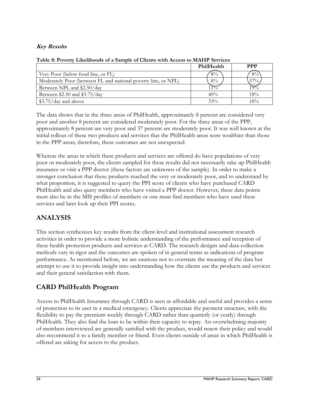### **Key Results**

|                                                                | PhilHealth    | <b>PPP</b>        |
|----------------------------------------------------------------|---------------|-------------------|
| Very Poor (below food line, or FL)                             | $8\%$         | $8\%$             |
| Moderately Poor (between FL and national poverty line, or NPL) | $8\%$         | $37\%$ .          |
| Between NPL and \$2.50/day                                     | $\mathcal{P}$ | $\sigma_{\alpha}$ |
| Between \$2.50 and \$3.75/day                                  | 40%           | 18%               |
| $$3.75/day$ and above                                          | 33%           | 18%               |

#### **Table 8: Poverty Likelihoods of a Sample of Clients with Access to MAHP Services**

The data shows that in the three areas of PhilHealth, approximately 8 percent are considered very poor and another 8 percent are considered moderately poor. For the three areas of the PPP, approximately 8 percent are very poor and 37 percent are moderately poor. It was well known at the initial rollout of these two products and services that the PhilHealth areas were wealthier than those in the PPP areas; therefore, these outcomes are not unexpected.

Whereas the areas in which these products and services are offered do have populations of very poor or moderately poor, the clients sampled for these results did not necessarily take up PhilHealth insurance or visit a PPP doctor (these factors are unknown of the sample). In order to make a stronger conclusion that these products reached the very or moderately poor, and to understand by what proportion, it is suggested to query the PPI score of clients who have purchased CARD PhilHealth and also query members who have visited a PPP doctor. However, these data points must also be in the MIS profiles of members or one must find members who have used these services and later look up their PPI scores.

# **ANALYSIS**

This section synthesizes key results from the client-level and institutional assessment research activities in order to provide a more holistic understanding of the performance and reception of these health protection products and services at CARD. The research designs and data-collection methods vary in rigor and the outcomes are spoken of in general terms as indications of program performance. As mentioned before, we are cautious not to overstate the meaning of the data but attempt to use it to provide insight into understanding how the clients use the products and services and their general satisfaction with them.

# **CARD PhilHealth Program**

Access to PhilHealth Insurance through CARD is seen as affordable and useful and provides a sense of protection to its user in a medical emergency. Clients appreciate the payment structure, with the flexibility to pay the premium weekly through CARD rather than quarterly (or yearly) through PhilHealth. They also find the loan to be within their capacity to repay. An overwhelming majority of members interviewed are generally satisfied with the product, would renew their policy and would also recommend it to a family member or friend. Even clients outside of areas in which PhilHealth is offered are asking for access to the product.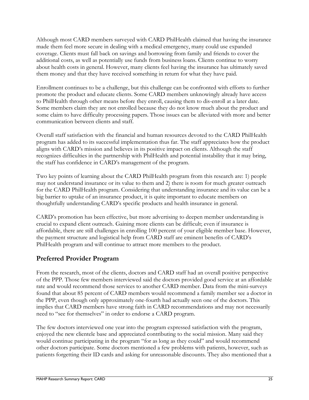Although most CARD members surveyed with CARD PhilHealth claimed that having the insurance made them feel more secure in dealing with a medical emergency, many could use expanded coverage. Clients must fall back on savings and borrowing from family and friends to cover the additional costs, as well as potentially use funds from business loans. Clients continue to worry about health costs in general. However, many clients feel having the insurance has ultimately saved them money and that they have received something in return for what they have paid.

Enrollment continues to be a challenge, but this challenge can be confronted with efforts to further promote the product and educate clients. Some CARD members unknowingly already have access to PhilHealth through other means before they enroll, causing them to dis-enroll at a later date. Some members claim they are not enrolled because they do not know much about the product and some claim to have difficulty processing papers. Those issues can be alleviated with more and better communication between clients and staff.

Overall staff satisfaction with the financial and human resources devoted to the CARD PhilHealth program has added to its successful implementation thus far. The staff appreciates how the product aligns with CARD's mission and believes in its positive impact on clients. Although the staff recognizes difficulties in the partnership with PhilHealth and potential instability that it may bring, the staff has confidence in CARD's management of the program.

Two key points of learning about the CARD PhilHealth program from this research are: 1) people may not understand insurance or its value to them and 2) there is room for much greater outreach for the CARD PhilHealth program. Considering that understanding insurance and its value can be a big barrier to uptake of an insurance product, it is quite important to educate members on thoughtfully understanding CARD's specific products and health insurance in general.

CARD's promotion has been effective, but more advertising to deepen member understanding is crucial to expand client outreach. Gaining more clients can be difficult; even if insurance is affordable, there are still challenges in enrolling 100 percent of your eligible member base. However, the payment structure and logistical help from CARD staff are eminent benefits of CARD's PhilHealth program and will continue to attract more members to the product.

# **Preferred Provider Program**

From the research, most of the clients, doctors and CARD staff had an overall positive perspective of the PPP. Those few members interviewed said the doctors provided good service at an affordable rate and would recommend those services to another CARD member. Data from the mini-surveys found that about 85 percent of CARD members would recommend a family member see a doctor in the PPP, even though only approximately one-fourth had actually seen one of the doctors. This implies that CARD members have strong faith in CARD recommendations and may not necessarily need to "see for themselves" in order to endorse a CARD program.

The few doctors interviewed one year into the program expressed satisfaction with the program, enjoyed the new clientele base and appreciated contributing to the social mission. Many said they would continue participating in the program "for as long as they could" and would recommend other doctors participate. Some doctors mentioned a few problems with patients, however, such as patients forgetting their ID cards and asking for unreasonable discounts. They also mentioned that a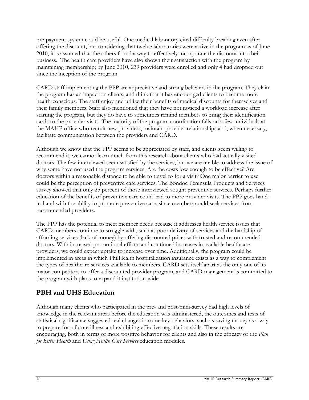pre-payment system could be useful. One medical laboratory cited difficulty breaking even after offering the discount, but considering that twelve laboratories were active in the program as of June 2010, it is assumed that the others found a way to effectively incorporate the discount into their business. The health care providers have also shown their satisfaction with the program by maintaining membership; by June 2010, 239 providers were enrolled and only 4 had dropped out since the inception of the program.

CARD staff implementing the PPP are appreciative and strong believers in the program. They claim the program has an impact on clients, and think that it has encouraged clients to become more health-conscious. The staff enjoy and utilize their benefits of medical discounts for themselves and their family members. Staff also mentioned that they have not noticed a workload increase after starting the program, but they do have to sometimes remind members to bring their identification cards to the provider visits. The majority of the program coordination falls on a few individuals at the MAHP office who recruit new providers, maintain provider relationships and, when necessary, facilitate communication between the providers and CARD.

Although we know that the PPP seems to be appreciated by staff, and clients seem willing to recommend it, we cannot learn much from this research about clients who had actually visited doctors. The few interviewed seem satisfied by the services, but we are unable to address the issue of why some have not used the program services. Are the costs low enough to be effective? Are doctors within a reasonable distance to be able to travel to for a visit? One major barrier to use could be the perception of preventive care services. The Bondoc Peninsula Products and Services survey showed that only 25 percent of those interviewed sought preventive services. Perhaps further education of the benefits of preventive care could lead to more provider visits. The PPP goes handin-hand with the ability to promote preventive care, since members could seek services from recommended providers.

The PPP has the potential to meet member needs because it addresses health service issues that CARD members continue to struggle with, such as poor delivery of services and the hardship of affording services (lack of money) by offering discounted prices with trusted and recommended doctors. With increased promotional efforts and continued increases in available healthcare providers, we could expect uptake to increase over time. Additionally, the program could be implemented in areas in which PhilHealth hospitalization insurance exists as a way to complement the types of healthcare services available to members. CARD sets itself apart as the only one of its major competitors to offer a discounted provider program, and CARD management is committed to the program with plans to expand it institution-wide.

# **PBH and UHS Education**

Although many clients who participated in the pre- and post-mini-survey had high levels of knowledge in the relevant areas before the education was administered, the outcomes and tests of statistical significance suggested real changes in some key behaviors, such as saving money as a way to prepare for a future illness and exhibiting effective negotiation skills. These results are encouraging, both in terms of more positive behavior for clients and also in the efficacy of the *Plan for Better Health* and *Using Health Care Services* education modules.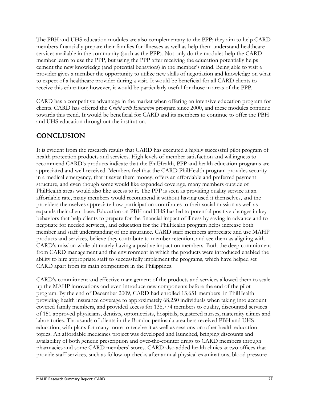The PBH and UHS education modules are also complementary to the PPP; they aim to help CARD members financially prepare their families for illnesses as well as help them understand healthcare services available in the community (such as the PPP). Not only do the modules help the CARD member learn to use the PPP, but using the PPP after receiving the education potentially helps cement the new knowledge (and potential behaviors) in the member's mind. Being able to visit a provider gives a member the opportunity to utilize new skills of negotiation and knowledge on what to expect of a healthcare provider during a visit. It would be beneficial for all CARD clients to receive this education; however, it would be particularly useful for those in areas of the PPP.

CARD has a competitive advantage in the market when offering an intensive education program for clients. CARD has offered the *Credit with Education* program since 2000, and these modules continue towards this trend. It would be beneficial for CARD and its members to continue to offer the PBH and UHS education throughout the institution.

# **CONCLUSION**

It is evident from the research results that CARD has executed a highly successful pilot program of health protection products and services. High levels of member satisfaction and willingness to recommend CARD's products indicate that the PhilHealth, PPP and health education programs are appreciated and well-received. Members feel that the CARD PhilHealth program provides security in a medical emergency, that it saves them money, offers an affordable and preferred payment structure, and even though some would like expanded coverage, many members outside of PhilHealth areas would also like access to it. The PPP is seen as providing quality service at an affordable rate, many members would recommend it without having used it themselves, and the providers themselves appreciate how participation contributes to their social mission as well as expands their client base. Education on PBH and UHS has led to potential positive changes in key behaviors that help clients to prepare for the financial impact of illness by saving in advance and to negotiate for needed services,, and education for the PhilHealth program helps increase both member and staff understanding of the insurance. CARD staff members appreciate and use MAHP products and services, believe they contribute to member retention, and see them as aligning with CARD's mission while ultimately having a positive impact on members. Both the deep commitment from CARD management and the environment in which the products were introduced enabled the ability to hire appropriate staff to successfully implement the programs, which have helped set CARD apart from its main competitors in the Philippines.

CARD's commitment and effective management of the products and services allowed them to scale up the MAHP innovations and even introduce new components before the end of the pilot program. By the end of December 2009, CARD had enrolled 13,651 members in PhilHealth providing health insurance coverage to approximately 68,250 individuals when taking into account covered family members, and provided access for 138,774 members to quality, discounted services of 151 approved physicians, dentists, optometrists, hospitals, registered nurses, maternity clinics and laboratories. Thousands of clients in the Bondoc peninsula area bers received PBH and UHS education, with plans for many more to receive it as well as sessions on other health education topics. An affordable medicines project was developed and launched, bringing discounts and availability of both generic prescription and over-the-counter drugs to CARD members through pharmacies and some CARD members' stores. CARD also added health clinics at two offices that provide staff services, such as follow-up checks after annual physical examinations, blood pressure